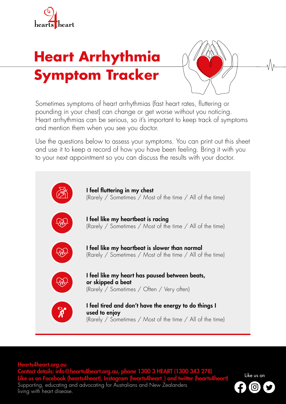

## **Heart Arrhythmia Symptom Tracker**



Sometimes symptoms of heart arrhythmias (fast heart rates, fluttering or pounding in your chest) can change or get worse without you noticing. Heart arrhythmias can be serious, so it's important to keep track of symptoms and mention them when you see you doctor.

Use the questions below to assess your symptoms. You can print out this sheet and use it to keep a record of how you have been feeling. Bring it with you to your next appointment so you can discuss the results with your doctor.



Hearts4heart.org.au Contact details: info@hearts4heart.org.au, phone 1300 3 HEART (1300 343 278) Like us on Facebook (hearts4heart), Instagram (hearts4heart\_) and twitter (hearts4heart) Supporting, educating and advocating for Australians and New Zealanders living with heart disease.

Like us on